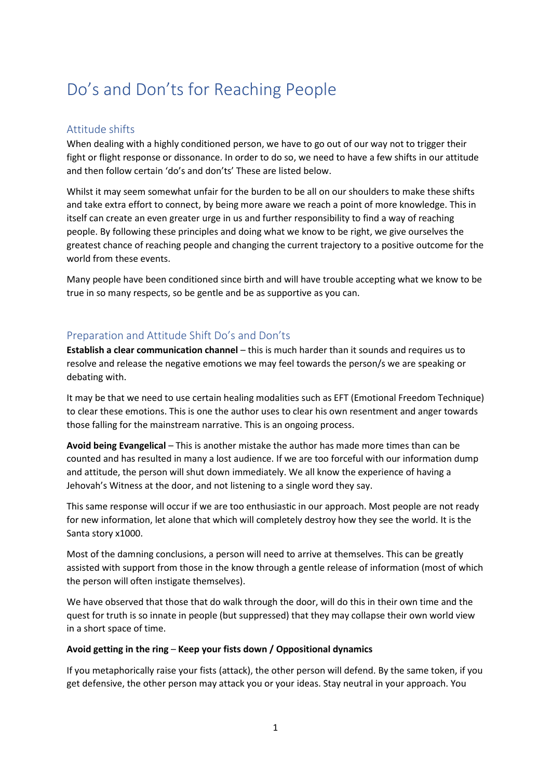# Do's and Don'ts for Reaching People

# Attitude shifts

When dealing with a highly conditioned person, we have to go out of our way not to trigger their fight or flight response or dissonance. In order to do so, we need to have a few shifts in our attitude and then follow certain 'do's and don'ts' These are listed below.

Whilst it may seem somewhat unfair for the burden to be all on our shoulders to make these shifts and take extra effort to connect, by being more aware we reach a point of more knowledge. This in itself can create an even greater urge in us and further responsibility to find a way of reaching people. By following these principles and doing what we know to be right, we give ourselves the greatest chance of reaching people and changing the current trajectory to a positive outcome for the world from these events.

Many people have been conditioned since birth and will have trouble accepting what we know to be true in so many respects, so be gentle and be as supportive as you can.

# Preparation and Attitude Shift Do's and Don'ts

**Establish a clear communication channel** – this is much harder than it sounds and requires us to resolve and release the negative emotions we may feel towards the person/s we are speaking or debating with.

It may be that we need to use certain healing modalities such as EFT (Emotional Freedom Technique) to clear these emotions. This is one the author uses to clear his own resentment and anger towards those falling for the mainstream narrative. This is an ongoing process.

**Avoid being Evangelical** – This is another mistake the author has made more times than can be counted and has resulted in many a lost audience. If we are too forceful with our information dump and attitude, the person will shut down immediately. We all know the experience of having a Jehovah's Witness at the door, and not listening to a single word they say.

This same response will occur if we are too enthusiastic in our approach. Most people are not ready for new information, let alone that which will completely destroy how they see the world. It is the Santa story x1000.

Most of the damning conclusions, a person will need to arrive at themselves. This can be greatly assisted with support from those in the know through a gentle release of information (most of which the person will often instigate themselves).

We have observed that those that do walk through the door, will do this in their own time and the quest for truth is so innate in people (but suppressed) that they may collapse their own world view in a short space of time.

#### **Avoid getting in the ring** – **Keep your fists down / Oppositional dynamics**

If you metaphorically raise your fists (attack), the other person will defend. By the same token, if you get defensive, the other person may attack you or your ideas. Stay neutral in your approach. You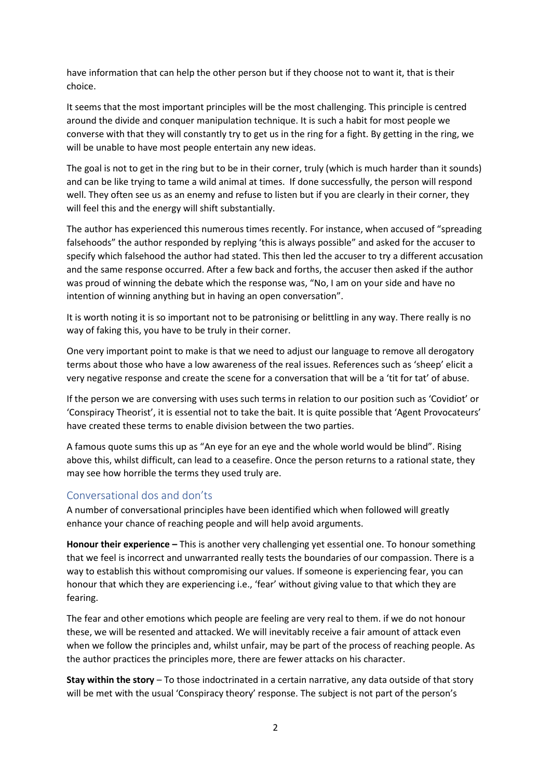have information that can help the other person but if they choose not to want it, that is their choice.

It seems that the most important principles will be the most challenging. This principle is centred around the divide and conquer manipulation technique. It is such a habit for most people we converse with that they will constantly try to get us in the ring for a fight. By getting in the ring, we will be unable to have most people entertain any new ideas.

The goal is not to get in the ring but to be in their corner, truly (which is much harder than it sounds) and can be like trying to tame a wild animal at times. If done successfully, the person will respond well. They often see us as an enemy and refuse to listen but if you are clearly in their corner, they will feel this and the energy will shift substantially.

The author has experienced this numerous times recently. For instance, when accused of "spreading falsehoods" the author responded by replying 'this is always possible" and asked for the accuser to specify which falsehood the author had stated. This then led the accuser to try a different accusation and the same response occurred. After a few back and forths, the accuser then asked if the author was proud of winning the debate which the response was, "No, I am on your side and have no intention of winning anything but in having an open conversation".

It is worth noting it is so important not to be patronising or belittling in any way. There really is no way of faking this, you have to be truly in their corner.

One very important point to make is that we need to adjust our language to remove all derogatory terms about those who have a low awareness of the real issues. References such as 'sheep' elicit a very negative response and create the scene for a conversation that will be a 'tit for tat' of abuse.

If the person we are conversing with uses such terms in relation to our position such as 'Covidiot' or 'Conspiracy Theorist', it is essential not to take the bait. It is quite possible that 'Agent Provocateurs' have created these terms to enable division between the two parties.

A famous quote sums this up as "An eye for an eye and the whole world would be blind". Rising above this, whilst difficult, can lead to a ceasefire. Once the person returns to a rational state, they may see how horrible the terms they used truly are.

# Conversational dos and don'ts

A number of conversational principles have been identified which when followed will greatly enhance your chance of reaching people and will help avoid arguments.

**Honour their experience –** This is another very challenging yet essential one. To honour something that we feel is incorrect and unwarranted really tests the boundaries of our compassion. There is a way to establish this without compromising our values. If someone is experiencing fear, you can honour that which they are experiencing i.e., 'fear' without giving value to that which they are fearing.

The fear and other emotions which people are feeling are very real to them. if we do not honour these, we will be resented and attacked. We will inevitably receive a fair amount of attack even when we follow the principles and, whilst unfair, may be part of the process of reaching people. As the author practices the principles more, there are fewer attacks on his character.

**Stay within the story** – To those indoctrinated in a certain narrative, any data outside of that story will be met with the usual 'Conspiracy theory' response. The subject is not part of the person's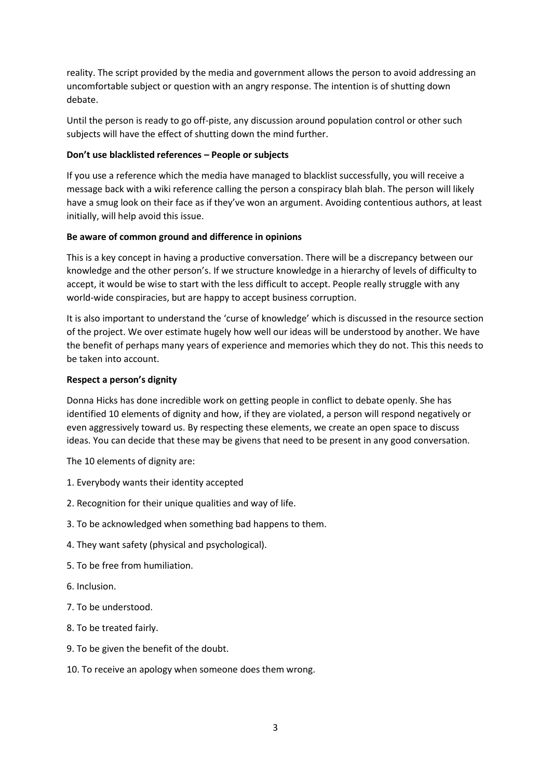reality. The script provided by the media and government allows the person to avoid addressing an uncomfortable subject or question with an angry response. The intention is of shutting down debate.

Until the person is ready to go off-piste, any discussion around population control or other such subjects will have the effect of shutting down the mind further.

## **Don't use blacklisted references – People or subjects**

If you use a reference which the media have managed to blacklist successfully, you will receive a message back with a wiki reference calling the person a conspiracy blah blah. The person will likely have a smug look on their face as if they've won an argument. Avoiding contentious authors, at least initially, will help avoid this issue.

## **Be aware of common ground and difference in opinions**

This is a key concept in having a productive conversation. There will be a discrepancy between our knowledge and the other person's. If we structure knowledge in a hierarchy of levels of difficulty to accept, it would be wise to start with the less difficult to accept. People really struggle with any world-wide conspiracies, but are happy to accept business corruption.

It is also important to understand the 'curse of knowledge' which is discussed in the resource section of the project. We over estimate hugely how well our ideas will be understood by another. We have the benefit of perhaps many years of experience and memories which they do not. This this needs to be taken into account.

## **Respect a person's dignity**

Donna Hicks has done incredible work on getting people in conflict to debate openly. She has identified 10 elements of dignity and how, if they are violated, a person will respond negatively or even aggressively toward us. By respecting these elements, we create an open space to discuss ideas. You can decide that these may be givens that need to be present in any good conversation.

The 10 elements of dignity are:

- 1. Everybody wants their identity accepted
- 2. Recognition for their unique qualities and way of life.
- 3. To be acknowledged when something bad happens to them.
- 4. They want safety (physical and psychological).
- 5. To be free from humiliation.
- 6. Inclusion.
- 7. To be understood.
- 8. To be treated fairly.
- 9. To be given the benefit of the doubt.
- 10. To receive an apology when someone does them wrong.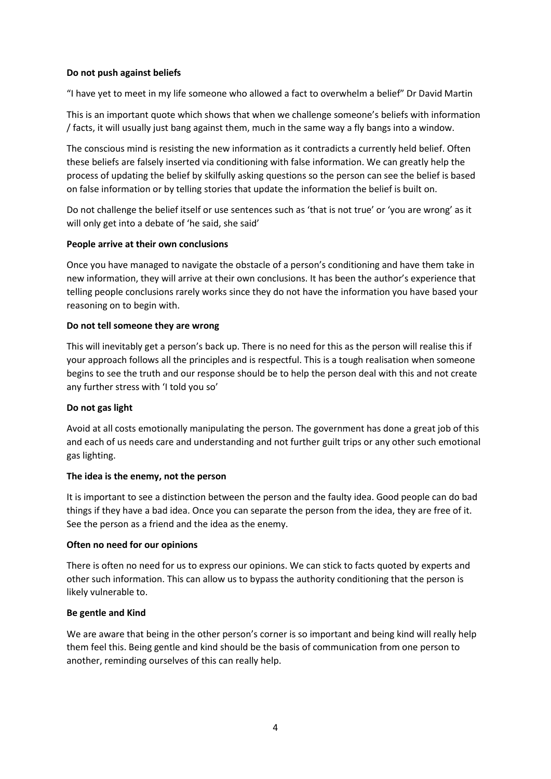## **Do not push against beliefs**

"I have yet to meet in my life someone who allowed a fact to overwhelm a belief" Dr David Martin

This is an important quote which shows that when we challenge someone's beliefs with information / facts, it will usually just bang against them, much in the same way a fly bangs into a window.

The conscious mind is resisting the new information as it contradicts a currently held belief. Often these beliefs are falsely inserted via conditioning with false information. We can greatly help the process of updating the belief by skilfully asking questions so the person can see the belief is based on false information or by telling stories that update the information the belief is built on.

Do not challenge the belief itself or use sentences such as 'that is not true' or 'you are wrong' as it will only get into a debate of 'he said, she said'

#### **People arrive at their own conclusions**

Once you have managed to navigate the obstacle of a person's conditioning and have them take in new information, they will arrive at their own conclusions. It has been the author's experience that telling people conclusions rarely works since they do not have the information you have based your reasoning on to begin with.

## **Do not tell someone they are wrong**

This will inevitably get a person's back up. There is no need for this as the person will realise this if your approach follows all the principles and is respectful. This is a tough realisation when someone begins to see the truth and our response should be to help the person deal with this and not create any further stress with 'I told you so'

#### **Do not gas light**

Avoid at all costs emotionally manipulating the person. The government has done a great job of this and each of us needs care and understanding and not further guilt trips or any other such emotional gas lighting.

#### **The idea is the enemy, not the person**

It is important to see a distinction between the person and the faulty idea. Good people can do bad things if they have a bad idea. Once you can separate the person from the idea, they are free of it. See the person as a friend and the idea as the enemy.

#### **Often no need for our opinions**

There is often no need for us to express our opinions. We can stick to facts quoted by experts and other such information. This can allow us to bypass the authority conditioning that the person is likely vulnerable to.

#### **Be gentle and Kind**

We are aware that being in the other person's corner is so important and being kind will really help them feel this. Being gentle and kind should be the basis of communication from one person to another, reminding ourselves of this can really help.